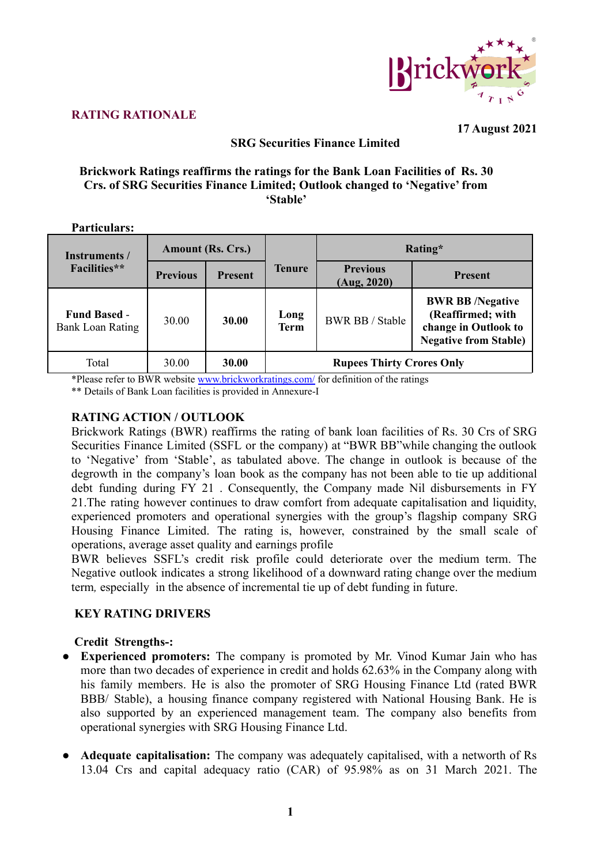

#### **RATING RATIONALE**

**17 August 2021**

# **SRG Securities Finance Limited**

### **Brickwork Ratings reaffirms the ratings for the Bank Loan Facilities of Rs. 30 Crs. of SRG Securities Finance Limited; Outlook changed to 'Negative' from 'Stable'**

### **Particulars:**

| Instruments /                                  | <b>Amount (Rs. Crs.)</b> |                |               | Rating*                          |                                                                                                     |  |  |
|------------------------------------------------|--------------------------|----------------|---------------|----------------------------------|-----------------------------------------------------------------------------------------------------|--|--|
| <b>Facilities</b> **                           | <b>Previous</b>          | <b>Present</b> | <b>Tenure</b> | <b>Previous</b><br>(Aug, 2020)   | <b>Present</b>                                                                                      |  |  |
| <b>Fund Based -</b><br><b>Bank Loan Rating</b> | 30.00                    | 30.00          | Long<br>Term  | <b>BWR BB / Stable</b>           | <b>BWR BB/Negative</b><br>(Reaffirmed; with<br>change in Outlook to<br><b>Negative from Stable)</b> |  |  |
| Total                                          | 30.00                    | 30.00          |               | <b>Rupees Thirty Crores Only</b> |                                                                                                     |  |  |

\*Please refer to BWR website [www.brickworkratings.com/](http://www.brickworkratings.com/) for definition of the ratings

\*\* Details of Bank Loan facilities is provided in Annexure-I

# **RATING ACTION / OUTLOOK**

Brickwork Ratings (BWR) reaffirms the rating of bank loan facilities of Rs. 30 Crs of SRG Securities Finance Limited (SSFL or the company) at "BWR BB"while changing the outlook to 'Negative' from 'Stable', as tabulated above. The change in outlook is because of the degrowth in the company's loan book as the company has not been able to tie up additional debt funding during FY 21 . Consequently, the Company made Nil disbursements in FY 21.The rating however continues to draw comfort from adequate capitalisation and liquidity, experienced promoters and operational synergies with the group's flagship company SRG Housing Finance Limited. The rating is, however, constrained by the small scale of operations, average asset quality and earnings profile

BWR believes SSFL's credit risk profile could deteriorate over the medium term. The Negative outlook indicates a strong likelihood of a downward rating change over the medium term*,* especially in the absence of incremental tie up of debt funding in future.

# **KEY RATING DRIVERS**

#### **Credit Strengths-:**

- **● Experienced promoters:** The company is promoted by Mr. Vinod Kumar Jain who has more than two decades of experience in credit and holds 62.63% in the Company along with his family members. He is also the promoter of SRG Housing Finance Ltd (rated BWR BBB/ Stable), a housing finance company registered with National Housing Bank. He is also supported by an experienced management team. The company also benefits from operational synergies with SRG Housing Finance Ltd.
- **● Adequate capitalisation:** The company was adequately capitalised, with a networth of Rs 13.04 Crs and capital adequacy ratio (CAR) of 95.98% as on 31 March 2021. The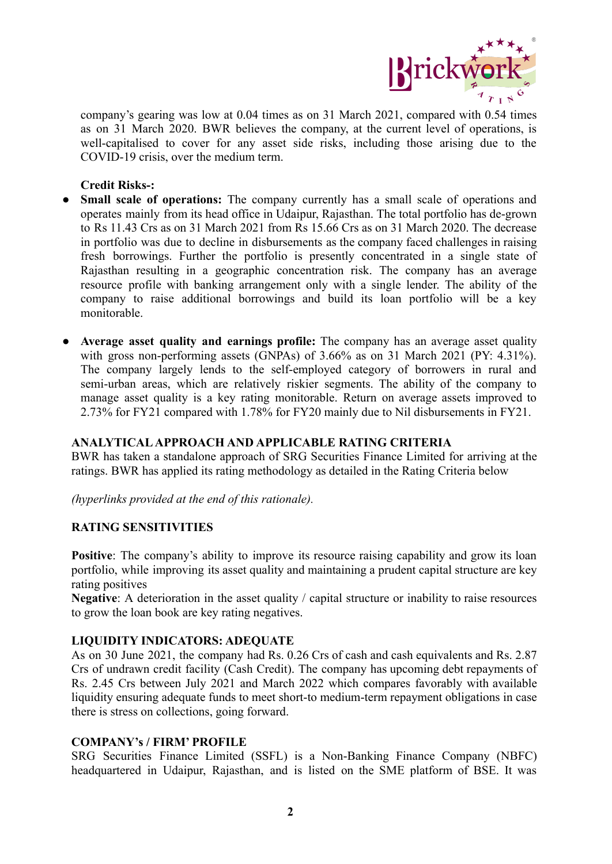

company's gearing was low at 0.04 times as on 31 March 2021, compared with 0.54 times as on 31 March 2020. BWR believes the company, at the current level of operations, is well-capitalised to cover for any asset side risks, including those arising due to the COVID-19 crisis, over the medium term.

### **Credit Risks-:**

- **● Small scale of operations:** The company currently has a small scale of operations and operates mainly from its head office in Udaipur, Rajasthan. The total portfolio has de-grown to Rs 11.43 Crs as on 31 March 2021 from Rs 15.66 Crs as on 31 March 2020. The decrease in portfolio was due to decline in disbursements as the company faced challenges in raising fresh borrowings. Further the portfolio is presently concentrated in a single state of Rajasthan resulting in a geographic concentration risk. The company has an average resource profile with banking arrangement only with a single lender. The ability of the company to raise additional borrowings and build its loan portfolio will be a key monitorable.
- **● Average asset quality and earnings profile:** The company has an average asset quality with gross non-performing assets (GNPAs) of 3.66% as on 31 March 2021 (PY: 4.31%). The company largely lends to the self-employed category of borrowers in rural and semi-urban areas, which are relatively riskier segments. The ability of the company to manage asset quality is a key rating monitorable. Return on average assets improved to 2.73% for FY21 compared with 1.78% for FY20 mainly due to Nil disbursements in FY21.

# **ANALYTICALAPPROACH AND APPLICABLE RATING CRITERIA**

BWR has taken a standalone approach of SRG Securities Finance Limited for arriving at the ratings. BWR has applied its rating methodology as detailed in the Rating Criteria below

*(hyperlinks provided at the end of this rationale).*

# **RATING SENSITIVITIES**

**Positive**: The company's ability to improve its resource raising capability and grow its loan portfolio, while improving its asset quality and maintaining a prudent capital structure are key rating positives

**Negative**: A deterioration in the asset quality / capital structure or inability to raise resources to grow the loan book are key rating negatives.

#### **LIQUIDITY INDICATORS: ADEQUATE**

As on 30 June 2021, the company had Rs. 0.26 Crs of cash and cash equivalents and Rs. 2.87 Crs of undrawn credit facility (Cash Credit). The company has upcoming debt repayments of Rs. 2.45 Crs between July 2021 and March 2022 which compares favorably with available liquidity ensuring adequate funds to meet short-to medium-term repayment obligations in case there is stress on collections, going forward.

#### **COMPANY's / FIRM' PROFILE**

SRG Securities Finance Limited (SSFL) is a Non-Banking Finance Company (NBFC) headquartered in Udaipur, Rajasthan, and is listed on the SME platform of BSE. It was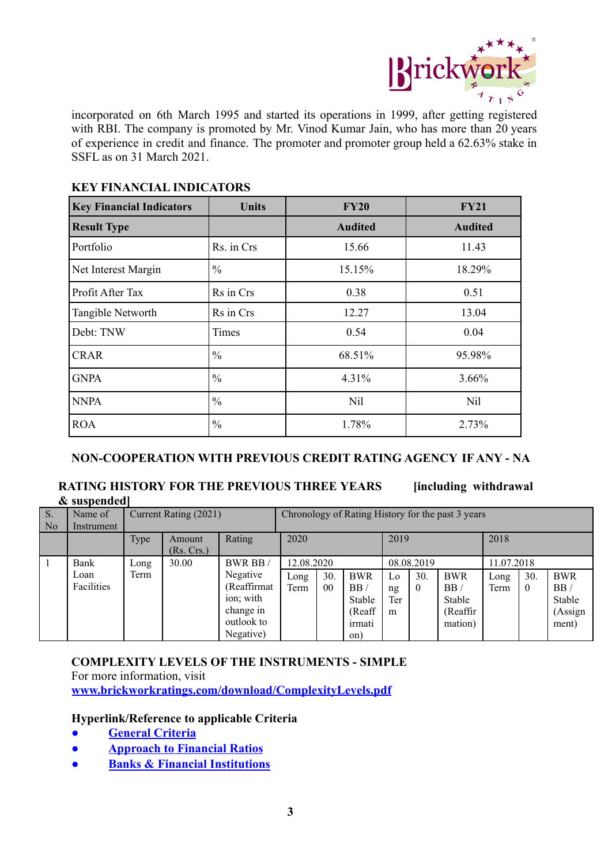

incorporated on 6th March 1995 and started its operations in 1999, after getting registered with RBI. The company is promoted by Mr. Vinod Kumar Jain, who has more than 20 years of experience in credit and finance. The promoter and promoter group held a 62.63% stake in SSFL as on 31 March 2021

| <b>Key Financial Indicators</b> | <b>Units</b>  | <b>FY20</b>    | <b>FY21</b>    |  |  |
|---------------------------------|---------------|----------------|----------------|--|--|
| <b>Result Type</b>              |               | <b>Audited</b> | <b>Audited</b> |  |  |
| Portfolio                       | Rs. in Crs    | 15.66          | 11.43          |  |  |
| Net Interest Margin             | $\frac{0}{0}$ | 15.15%         | 18.29%         |  |  |
| Profit After Tax                | Rs in Crs     | 0.38           | 0.51           |  |  |
| Tangible Networth               | Rs in Crs     | 12.27          | 13.04          |  |  |
| Debt: TNW                       | Times         | 0.54           | 0.04           |  |  |
| <b>CRAR</b>                     | $\frac{0}{0}$ | 68.51%         | 95.98%         |  |  |
| <b>GNPA</b>                     | $\frac{0}{0}$ | 4.31%          | 3.66%          |  |  |
| <b>NNPA</b>                     | $\frac{0}{0}$ | Nil            | Nil            |  |  |
| <b>ROA</b>                      | $\frac{0}{0}$ | 1.78%          | 2.73%          |  |  |

# **KEY FINANCIAL INDICATORS**

# **NON-COOPERATION WITH PREVIOUS CREDIT RATING AGENCY IF ANY - NA**

### **RATING HISTORY FOR THE PREVIOUS THREE YEARS [including withdrawal & suspended]**

| $S$ .<br>  No | Name of<br>Instrument | Current Rating (2021) |                      |              | Chronology of Rating History for the past 3 years |                |            |     |            |            |      |          |            |
|---------------|-----------------------|-----------------------|----------------------|--------------|---------------------------------------------------|----------------|------------|-----|------------|------------|------|----------|------------|
|               |                       | Type                  | Amount<br>(Rs. Crs.) | Rating       | 2020                                              |                | 2019       |     | 2018       |            |      |          |            |
|               | Bank                  | $\log$                | 30.00                | BWR BB       | 12.08.2020                                        |                | 08.08.2019 |     | 11.07.2018 |            |      |          |            |
|               | Loan                  | Term                  |                      | Negative     | Long                                              | 30.            | <b>BWR</b> | Lo  | 30.        | <b>BWR</b> | Long | 30.      | <b>BWR</b> |
|               | Facilities            |                       |                      | (Reaffirmat) | Term                                              | 0 <sub>0</sub> | BB/        | ng  | $\theta$   | BB/        | Term | $\theta$ | BB/        |
|               |                       |                       |                      | ion; with    |                                                   |                | Stable     | Ter |            | Stable     |      |          | Stable     |
|               |                       |                       |                      | change in    |                                                   |                | (Reaff     | m   |            | (Reaffir)  |      |          | (Assign    |
|               |                       |                       |                      | outlook to   |                                                   |                | irmati     |     |            | mation)    |      |          | ment)      |
|               |                       |                       |                      | Negative)    |                                                   |                | on)        |     |            |            |      |          |            |

# **COMPLEXITY LEVELS OF THE INSTRUMENTS - SIMPLE**

For more information, visit **[www.brickworkratings.com/download/ComplexityLevels.pdf](http://www.brickworkratings.com/download/ComplexityLevels.pdf)**

# **Hyperlink/Reference to applicable Criteria**

- **● [General Criteria](http://www.brickworkratings.com/download/Criteria-GeneralCriteria.pdf)**
- **● [Approach to Financial Ratios](http://www.brickworkratings.com/download/Criteria-FinancialRatios.pdf)**
- **● [Banks & Financial Institutions](https://www.brickworkratings.com/download/Criteria-BanksFinancialInstitutions.pdf)**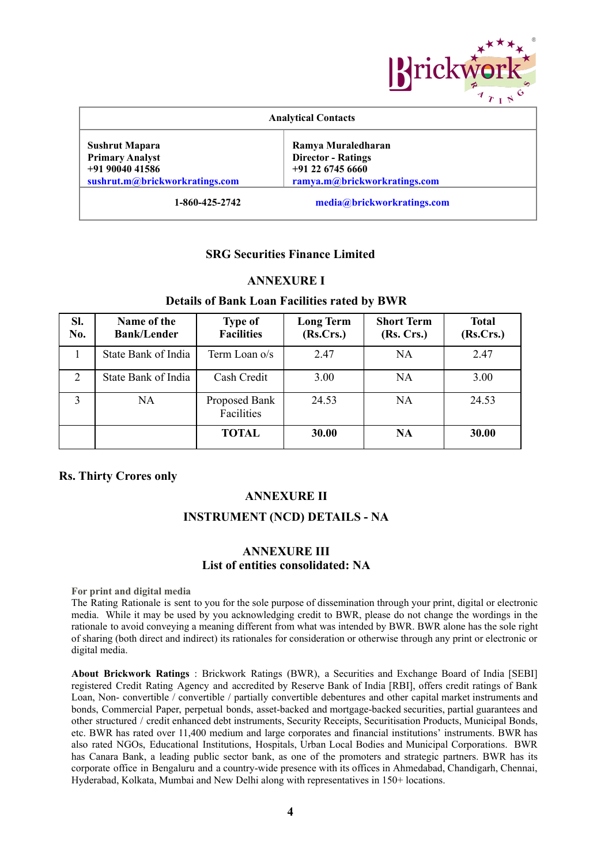

| <b>Analytical Contacts</b>                                                                           |                                                                                                       |  |  |  |  |
|------------------------------------------------------------------------------------------------------|-------------------------------------------------------------------------------------------------------|--|--|--|--|
| <b>Sushrut Mapara</b><br><b>Primary Analyst</b><br>$+919004041586$<br>sushrut.m@brickworkratings.com | Ramya Muraledharan<br><b>Director - Ratings</b><br>$+91$ 22 6745 6660<br>ramya.m@brickworkratings.com |  |  |  |  |
| 1-860-425-2742                                                                                       | media@brickworkratings.com                                                                            |  |  |  |  |

# **SRG Securities Finance Limited**

#### **ANNEXURE I**

#### **Details of Bank Loan Facilities rated by BWR**

| SI.<br>No. | Name of the<br><b>Bank/Lender</b> | <b>Type of</b><br><b>Facilities</b> | <b>Long Term</b><br>(Rs.Crs.) | <b>Short Term</b><br>(Rs. Crs.) | <b>Total</b><br>(Rs.Crs.) |
|------------|-----------------------------------|-------------------------------------|-------------------------------|---------------------------------|---------------------------|
|            | State Bank of India               | Term Loan o/s                       | 2.47                          | NA                              | 2.47                      |
| 2          | State Bank of India               | Cash Credit                         | 3.00                          | NA                              | 3.00                      |
|            | NA                                | Proposed Bank<br>Facilities         | 24.53                         | NA                              | 24.53                     |
|            |                                   | <b>TOTAL</b>                        | 30.00                         | <b>NA</b>                       | 30.00                     |

#### **Rs. Thirty Crores only**

#### **ANNEXURE II**

#### **INSTRUMENT (NCD) DETAILS - NA**

#### **ANNEXURE III List of entities consolidated: NA**

**For print and digital media**

The Rating Rationale is sent to you for the sole purpose of dissemination through your print, digital or electronic media. While it may be used by you acknowledging credit to BWR, please do not change the wordings in the rationale to avoid conveying a meaning different from what was intended by BWR. BWR alone has the sole right of sharing (both direct and indirect) its rationales for consideration or otherwise through any print or electronic or digital media.

**About Brickwork Ratings** : Brickwork Ratings (BWR), a Securities and Exchange Board of India [SEBI] registered Credit Rating Agency and accredited by Reserve Bank of India [RBI], offers credit ratings of Bank Loan, Non- convertible / convertible / partially convertible debentures and other capital market instruments and bonds, Commercial Paper, perpetual bonds, asset-backed and mortgage-backed securities, partial guarantees and other structured / credit enhanced debt instruments, Security Receipts, Securitisation Products, Municipal Bonds, etc. BWR has rated over 11,400 medium and large corporates and financial institutions' instruments. BWR has also rated NGOs, Educational Institutions, Hospitals, Urban Local Bodies and Municipal Corporations. BWR has Canara Bank, a leading public sector bank, as one of the promoters and strategic partners. BWR has its corporate office in Bengaluru and a country-wide presence with its offices in Ahmedabad, Chandigarh, Chennai, Hyderabad, Kolkata, Mumbai and New Delhi along with representatives in 150+ locations.